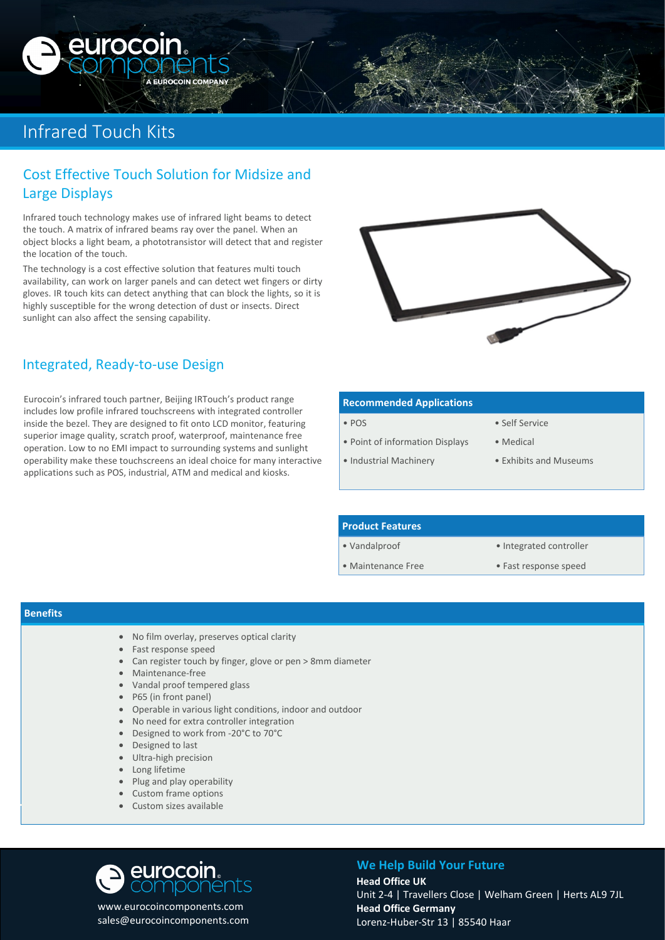## Infrared Touch Kits

euroco

## Cost Effective Touch Solution for Midsize and Large Displays

**OCOIN COMPAN** 

Infrared touch technology makes use of infrared light beams to detect the touch. A matrix of infrared beams ray over the panel. When an object blocks a light beam, a phototransistor will detect that and register the location of the touch.

The technology is a cost effective solution that features multi touch availability, can work on larger panels and can detect wet fingers or dirty gloves. IR touch kits can detect anything that can block the lights, so it is highly susceptible for the wrong detection of dust or insects. Direct sunlight can also affect the sensing capability.



## Integrated, Ready-to-use Design

Eurocoin's infrared touch partner, Beijing IRTouch's product range includes low profile infrared touchscreens with integrated controller inside the bezel. They are designed to fit onto LCD monitor, featuring superior image quality, scratch proof, waterproof, maintenance free operation. Low to no EMI impact to surrounding systems and sunlight operability make these touchscreens an ideal choice for many interactive applications such as POS, industrial, ATM and medical and kiosks.

| <b>Recommended Applications</b> |                        |  |  |
|---------------------------------|------------------------|--|--|
| $\bullet$ POS                   | • Self Service         |  |  |
| • Point of information Displays | • Medical              |  |  |
| • Industrial Machinery          | • Exhibits and Museums |  |  |

#### **Product Features**

• Vandalproof

- Integrated controller
- Maintenance Free
- 
- Fast response speed

#### **Benefits**

- No film overlay, preserves optical clarity
- Fast response speed
- Can register touch by finger, glove or pen > 8mm diameter
- Maintenance-free
- Vandal proof tempered glass
- P65 (in front panel)
- Operable in various light conditions, indoor and outdoor
- No need for extra controller integration
- Designed to work from -20°C to 70°C
- Designed to last
- Ultra-high precision
- Long lifetime
- Plug and play operability
- Custom frame options
- Custom sizes available

# **eurocoin**<br>Compon

www.eurocoincomponents.com sales@eurocoincomponents.com

## **We Help Build Your Future**

**Head Office UK** Unit 2-4 | Travellers Close | Welham Green | Herts AL9 7JL **Head Office Germany** Lorenz-Huber-Str 13 | 85540 Haar